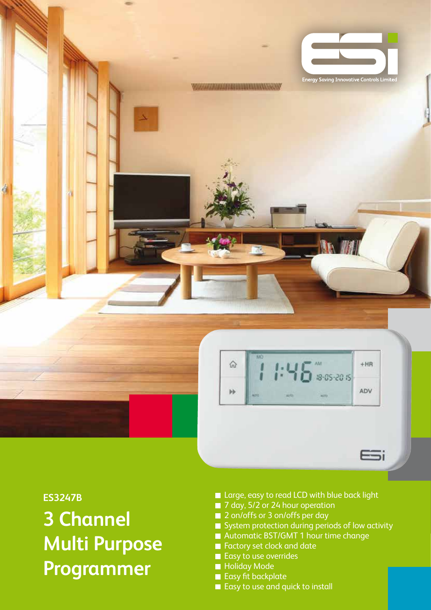

**ES3247B 3 Channel Multi Purpose Programmer**

- Large, easy to read LCD with blue back light
- 7 day, 5/2 or 24 hour operation
- 2 on/offs or 3 on/offs per day
- $\blacksquare$  System protection during periods of low activity
- Automatic BST/GMT 1 hour time change
- **Factory set clock and date**
- Easy to use overrides
- **Holiday Mode**
- Easy fit backplate
- Easy to use and quick to install